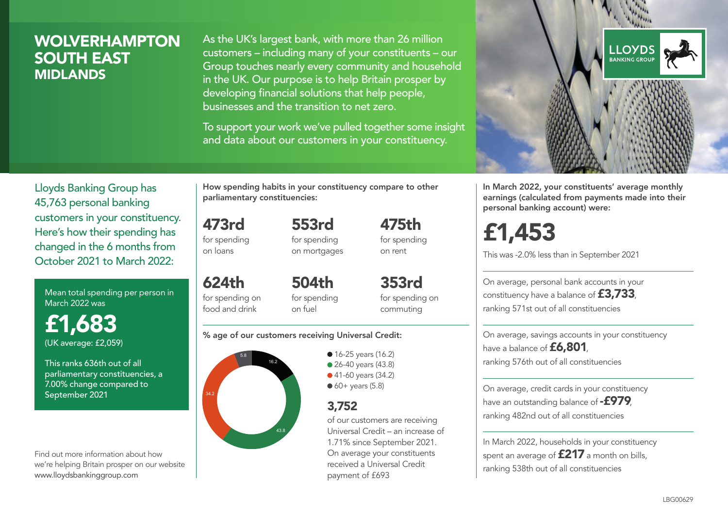## **WOLVERHAMPTON** SOUTH EAST MIDLANDS

As the UK's largest bank, with more than 26 million customers – including many of your constituents – our Group touches nearly every community and household in the UK. Our purpose is to help Britain prosper by developing financial solutions that help people, businesses and the transition to net zero.

To support your work we've pulled together some insight and data about our customers in your constituency.



Mean total spending per person in March 2022 was

£1,683 (UK average: £2,059)

This ranks 636th out of all parliamentary constituencies, a 7.00% change compared to September 2021

Find out more information about how we're helping Britain prosper on our website www.lloydsbankinggroup.com

How spending habits in your constituency compare to other parliamentary constituencies:

> 553rd for spending

473rd for spending on loans

on mortgages

624th for spending on food and drink 504th for spending on fuel

353rd for spending on commuting

475th for spending on rent

#### % age of our customers receiving Universal Credit:



**16-25 years (16.2)** • 26-40 years (43.8) ● 41-60 years (34.2)  $60+$  years (5.8)

## 3,752

of our customers are receiving Universal Credit – an increase of 1.71% since September 2021. On average your constituents received a Universal Credit payment of £693



In March 2022, your constituents' average monthly earnings (calculated from payments made into their personal banking account) were:

£1,453

This was -2.0% less than in September 2021

On average, personal bank accounts in your constituency have a balance of £3,733, ranking 571st out of all constituencies

On average, savings accounts in your constituency have a balance of £6,801, ranking 576th out of all constituencies

On average, credit cards in your constituency have an outstanding balance of **-£979** ranking 482nd out of all constituencies

In March 2022, households in your constituency spent an average of **£217** a month on bills, ranking 538th out of all constituencies